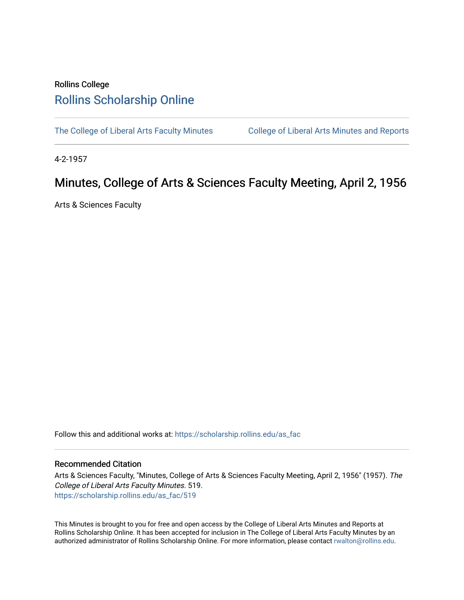## Rollins College [Rollins Scholarship Online](https://scholarship.rollins.edu/)

[The College of Liberal Arts Faculty Minutes](https://scholarship.rollins.edu/as_fac) College of Liberal Arts Minutes and Reports

4-2-1957

# Minutes, College of Arts & Sciences Faculty Meeting, April 2, 1956

Arts & Sciences Faculty

Follow this and additional works at: [https://scholarship.rollins.edu/as\\_fac](https://scholarship.rollins.edu/as_fac?utm_source=scholarship.rollins.edu%2Fas_fac%2F519&utm_medium=PDF&utm_campaign=PDFCoverPages) 

### Recommended Citation

Arts & Sciences Faculty, "Minutes, College of Arts & Sciences Faculty Meeting, April 2, 1956" (1957). The College of Liberal Arts Faculty Minutes. 519. [https://scholarship.rollins.edu/as\\_fac/519](https://scholarship.rollins.edu/as_fac/519?utm_source=scholarship.rollins.edu%2Fas_fac%2F519&utm_medium=PDF&utm_campaign=PDFCoverPages) 

This Minutes is brought to you for free and open access by the College of Liberal Arts Minutes and Reports at Rollins Scholarship Online. It has been accepted for inclusion in The College of Liberal Arts Faculty Minutes by an authorized administrator of Rollins Scholarship Online. For more information, please contact [rwalton@rollins.edu](mailto:rwalton@rollins.edu).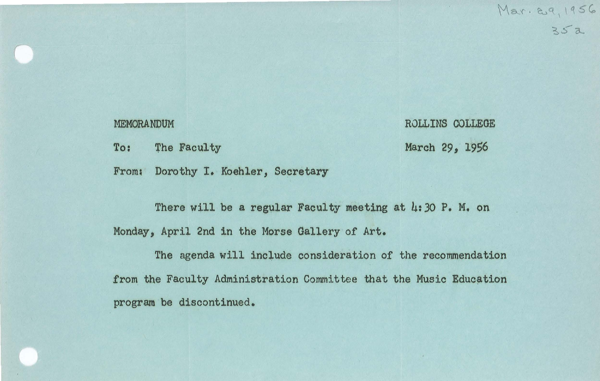$Mar. & q, 1956$ *~S'o-..* 

#### MEMORANDUM

To: The Faculty

ROLLINS COLLEGE March 29, 1956

From: Dorothy I. Koehler, Secretary

There will be a regular Faculty meeting at 4:30 P. M. on Monday, April 2nd in the Morse Gallery of Art.

The agenda will include consideration of the recommendation from the Faculty Administration Committee that the Music Education program be discontinued.